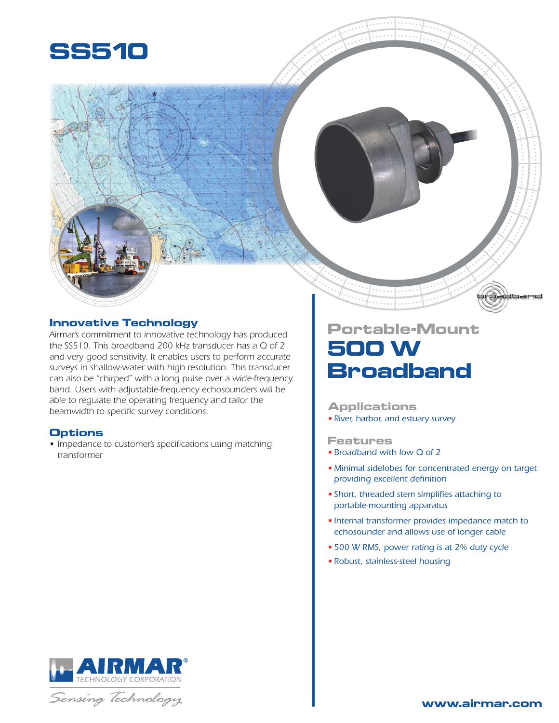

## **Innovative Technology**

*Airmar's commitment to innovative technology has produced the SS510. This broadband 200 kHz transducer has a Q of 2 and very good sensitivity. It enables users to perform accurate surveys in shallow-water with high resolution. This transducer can also be "chirped" with a long pulse over a wide-frequency band. Users with adjustable-frequency echosounders will be able to regulate the operating frequency and tailor the beamwidth to specific survey conditions.*

## **Options**

*• Impedance to customer's specifications using matching transformer*

## **Portable-Mount 500 W Broadband**

## **Applications**

*• River, harbor, and estuary survey*

### **Features**

- *• Broadband with low Q of 2*
- *• Minimal sidelobes for concentrated energy on target providing excellent definition*
- *• Short, threaded stem simplifies attaching to portable-mounting apparatus*
- *• Internal transformer provides impedance match to echosounder and allows use of longer cable*
- *• 500 W RMS, power rating is at 2% duty cycle*
- *• Robust, stainless-steel housing*



Sensing Technology

dband